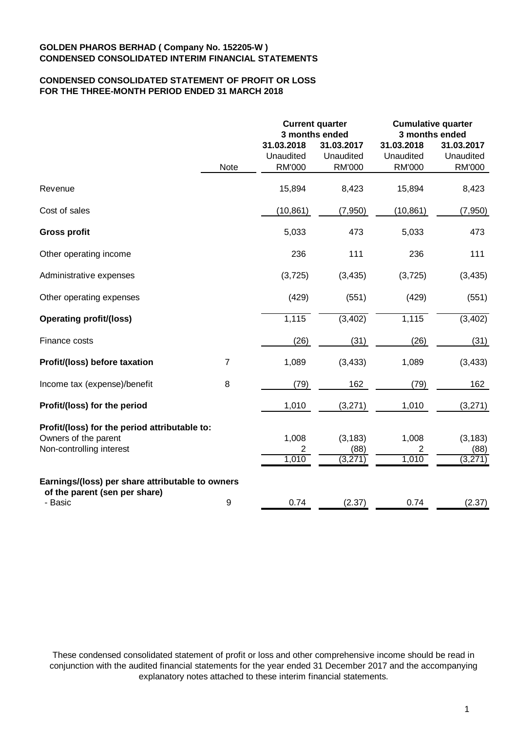## **CONDENSED CONSOLIDATED STATEMENT OF PROFIT OR LOSS FOR THE THREE-MONTH PERIOD ENDED 31 MARCH 2018**

|                                                  |                | <b>Current quarter</b><br>3 months ended |                                          | <b>Cumulative quarter</b><br>3 months ended |                                   |  |
|--------------------------------------------------|----------------|------------------------------------------|------------------------------------------|---------------------------------------------|-----------------------------------|--|
|                                                  | Note           | 31.03.2018<br>Unaudited<br>RM'000        | 31.03.2017<br>Unaudited<br><b>RM'000</b> | 31.03.2018<br>Unaudited<br><b>RM'000</b>    | 31.03.2017<br>Unaudited<br>RM'000 |  |
| Revenue                                          |                | 15,894                                   | 8,423                                    | 15,894                                      | 8,423                             |  |
| Cost of sales                                    |                | (10, 861)                                | (7,950)                                  | (10, 861)                                   | (7,950)                           |  |
| <b>Gross profit</b>                              |                | 5,033                                    | 473                                      | 5,033                                       | 473                               |  |
| Other operating income                           |                | 236                                      | 111                                      | 236                                         | 111                               |  |
| Administrative expenses                          |                | (3, 725)                                 | (3, 435)                                 | (3,725)                                     | (3, 435)                          |  |
| Other operating expenses                         |                | (429)                                    | (551)                                    | (429)                                       | (551)                             |  |
| <b>Operating profit/(loss)</b>                   |                | 1,115                                    | (3, 402)                                 | 1,115                                       | (3, 402)                          |  |
| Finance costs                                    |                | (26)                                     | (31)                                     | (26)                                        | (31)                              |  |
| Profit/(loss) before taxation                    | $\overline{7}$ | 1,089                                    | (3, 433)                                 | 1,089                                       | (3, 433)                          |  |
| Income tax (expense)/benefit                     | 8              | (79)                                     | 162                                      | (79)                                        | 162                               |  |
| Profit/(loss) for the period                     |                | 1,010                                    | (3,271)                                  | 1,010                                       | (3,271)                           |  |
| Profit/(loss) for the period attributable to:    |                |                                          |                                          |                                             |                                   |  |
| Owners of the parent<br>Non-controlling interest |                | 1,008                                    | (3, 183)<br>(88)                         | 1,008<br>2                                  | (3, 183)<br>(88)                  |  |
|                                                  |                | 2<br>1,010                               | (3,271)                                  | 1,010                                       | (3,271)                           |  |
| Earnings/(loss) per share attributable to owners |                |                                          |                                          |                                             |                                   |  |
| of the parent (sen per share)<br>- Basic         | 9              | 0.74                                     | (2.37)                                   | 0.74                                        | (2.37)                            |  |

These condensed consolidated statement of profit or loss and other comprehensive income should be read in conjunction with the audited financial statements for the year ended 31 December 2017 and the accompanying explanatory notes attached to these interim financial statements.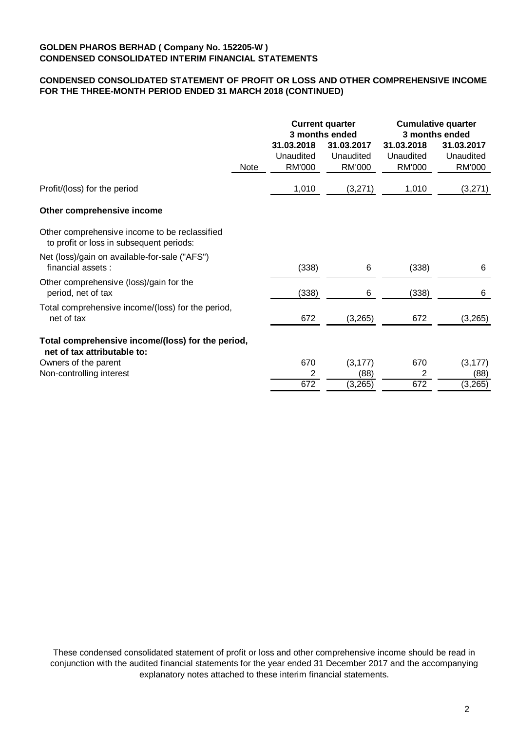# **CONDENSED CONSOLIDATED STATEMENT OF PROFIT OR LOSS AND OTHER COMPREHENSIVE INCOME FOR THE THREE-MONTH PERIOD ENDED 31 MARCH 2018 (CONTINUED)**

|                                                                                           |             | <b>Current quarter</b><br>3 months ended |                                          | <b>Cumulative quarter</b><br>3 months ended |                                   |
|-------------------------------------------------------------------------------------------|-------------|------------------------------------------|------------------------------------------|---------------------------------------------|-----------------------------------|
|                                                                                           | <b>Note</b> | 31.03.2018<br>Unaudited<br><b>RM'000</b> | 31.03.2017<br>Unaudited<br><b>RM'000</b> | 31.03.2018<br>Unaudited<br><b>RM'000</b>    | 31.03.2017<br>Unaudited<br>RM'000 |
| Profit/(loss) for the period                                                              |             | 1,010                                    | (3,271)                                  | 1,010                                       | (3,271)                           |
| Other comprehensive income                                                                |             |                                          |                                          |                                             |                                   |
| Other comprehensive income to be reclassified<br>to profit or loss in subsequent periods: |             |                                          |                                          |                                             |                                   |
| Net (loss)/gain on available-for-sale ("AFS")<br>financial assets:                        |             | (338)                                    | 6                                        | (338)                                       | 6                                 |
| Other comprehensive (loss)/gain for the<br>period, net of tax                             |             | (338)                                    | 6                                        | (338)                                       | 6                                 |
| Total comprehensive income/(loss) for the period,<br>net of tax                           |             | 672                                      | (3, 265)                                 | 672                                         | (3,265)                           |
| Total comprehensive income/(loss) for the period,<br>net of tax attributable to:          |             |                                          |                                          |                                             |                                   |
| Owners of the parent                                                                      |             | 670                                      | (3, 177)                                 | 670                                         | (3, 177)                          |
| Non-controlling interest                                                                  |             | 2                                        | (88)                                     | 2                                           | (88)                              |
|                                                                                           |             | 672                                      | (3, 265)                                 | 672                                         | (3, 265)                          |

These condensed consolidated statement of profit or loss and other comprehensive income should be read in conjunction with the audited financial statements for the year ended 31 December 2017 and the accompanying explanatory notes attached to these interim financial statements.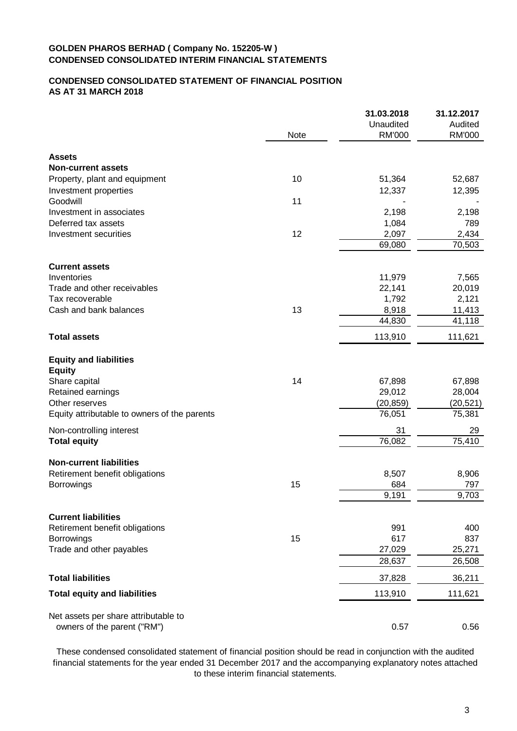# **CONDENSED CONSOLIDATED STATEMENT OF FINANCIAL POSITION AS AT 31 MARCH 2018**

|                                              |      | 31.03.2018    | 31.12.2017    |
|----------------------------------------------|------|---------------|---------------|
|                                              |      | Unaudited     | Audited       |
|                                              | Note | <b>RM'000</b> | <b>RM'000</b> |
| <b>Assets</b>                                |      |               |               |
| <b>Non-current assets</b>                    |      |               |               |
| Property, plant and equipment                | 10   | 51,364        | 52,687        |
| Investment properties                        |      | 12,337        | 12,395        |
| Goodwill                                     | 11   |               |               |
| Investment in associates                     |      | 2,198         | 2,198         |
| Deferred tax assets                          |      | 1,084         | 789           |
| Investment securities                        | 12   | 2,097         | 2,434         |
|                                              |      | 69,080        | 70,503        |
| <b>Current assets</b>                        |      |               |               |
| Inventories                                  |      | 11,979        | 7,565         |
| Trade and other receivables                  |      | 22,141        | 20,019        |
| Tax recoverable                              |      | 1,792         | 2,121         |
| Cash and bank balances                       | 13   | 8,918         | 11,413        |
|                                              |      | 44,830        | 41,118        |
| <b>Total assets</b>                          |      | 113,910       | 111,621       |
| <b>Equity and liabilities</b>                |      |               |               |
| <b>Equity</b>                                |      |               |               |
| Share capital                                | 14   | 67,898        | 67,898        |
| Retained earnings                            |      | 29,012        | 28,004        |
| Other reserves                               |      | (20, 859)     | (20, 521)     |
| Equity attributable to owners of the parents |      | 76,051        | 75,381        |
| Non-controlling interest                     |      | 31            | 29            |
| <b>Total equity</b>                          |      | 76,082        | 75,410        |
| <b>Non-current liabilities</b>               |      |               |               |
| Retirement benefit obligations               |      | 8,507         | 8,906         |
| <b>Borrowings</b>                            | 15   | 684           | 797           |
|                                              |      | 9,191         | 9,703         |
| <b>Current liabilities</b>                   |      |               |               |
| Retirement benefit obligations               |      | 991           | 400           |
| Borrowings                                   | 15   | 617           | 837           |
| Trade and other payables                     |      | 27,029        | 25,271        |
|                                              |      | 28,637        | 26,508        |
| <b>Total liabilities</b>                     |      | 37,828        | 36,211        |
| <b>Total equity and liabilities</b>          |      | 113,910       | 111,621       |
| Net assets per share attributable to         |      |               |               |
| owners of the parent ("RM")                  |      | 0.57          | 0.56          |
|                                              |      |               |               |

These condensed consolidated statement of financial position should be read in conjunction with the audited financial statements for the year ended 31 December 2017 and the accompanying explanatory notes attached to these interim financial statements.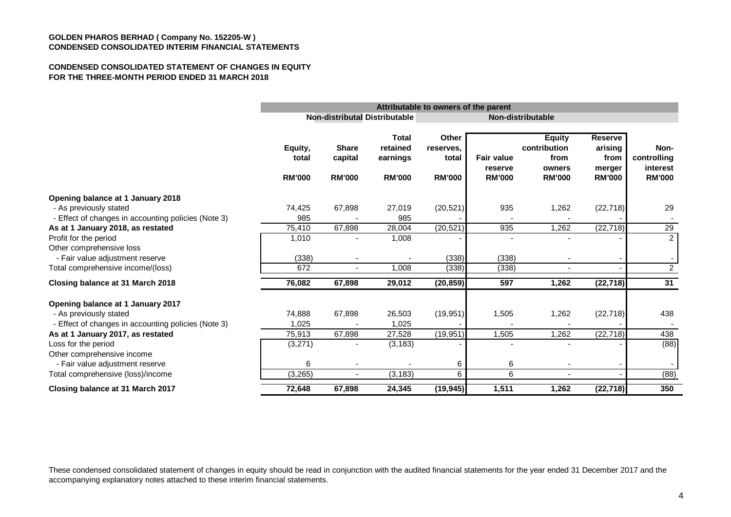#### **CONDENSED CONSOLIDATED STATEMENT OF CHANGES IN EQUITY FOR THE THREE-MONTH PERIOD ENDED 31 MARCH 2018**

|                                                                               |                                   | Attributable to owners of the parent     |                                                       |                                              |                                               |                                                                  |                                                              |                                                  |
|-------------------------------------------------------------------------------|-----------------------------------|------------------------------------------|-------------------------------------------------------|----------------------------------------------|-----------------------------------------------|------------------------------------------------------------------|--------------------------------------------------------------|--------------------------------------------------|
|                                                                               |                                   |                                          | <b>Non-distributal Distributable</b>                  |                                              | Non-distributable                             |                                                                  |                                                              |                                                  |
|                                                                               | Equity,<br>total<br><b>RM'000</b> | <b>Share</b><br>capital<br><b>RM'000</b> | <b>Total</b><br>retained<br>earnings<br><b>RM'000</b> | Other<br>reserves.<br>total<br><b>RM'000</b> | <b>Fair value</b><br>reserve<br><b>RM'000</b> | <b>Equity</b><br>contribution<br>from<br>owners<br><b>RM'000</b> | <b>Reserve</b><br>arising<br>from<br>merger<br><b>RM'000</b> | Non-<br>controlling<br>interest<br><b>RM'000</b> |
| Opening balance at 1 January 2018                                             |                                   |                                          |                                                       |                                              |                                               |                                                                  |                                                              |                                                  |
| - As previously stated<br>- Effect of changes in accounting policies (Note 3) | 74,425<br>985                     | 67,898                                   | 27,019<br>985                                         | (20, 521)                                    | 935                                           | 1,262                                                            | (22, 718)                                                    | 29                                               |
| As at 1 January 2018, as restated                                             | 75,410                            | 67,898                                   | 28,004                                                | (20, 521)                                    | 935                                           | 1,262                                                            | (22, 718)                                                    | 29                                               |
| Profit for the period<br>Other comprehensive loss                             | 1,010                             |                                          | 1,008                                                 |                                              |                                               |                                                                  |                                                              | $\overline{2}$                                   |
| - Fair value adjustment reserve                                               | (338)                             |                                          |                                                       | (338)                                        | (338)                                         |                                                                  |                                                              |                                                  |
| Total comprehensive income/(loss)                                             | 672                               | $\overline{\phantom{0}}$                 | 1.008                                                 | (338)                                        | (338)                                         | $\blacksquare$                                                   |                                                              | $\overline{2}$                                   |
| Closing balance at 31 March 2018                                              | 76.082                            | 67,898                                   | 29,012                                                | (20, 859)                                    | 597                                           | 1,262                                                            | (22, 718)                                                    | 31                                               |
| Opening balance at 1 January 2017                                             |                                   |                                          |                                                       |                                              |                                               |                                                                  |                                                              |                                                  |
| - As previously stated                                                        | 74,888                            | 67,898                                   | 26,503                                                | (19, 951)                                    | 1,505                                         | 1,262                                                            | (22, 718)                                                    | 438                                              |
| - Effect of changes in accounting policies (Note 3)                           | 1,025                             |                                          | 1,025                                                 |                                              |                                               |                                                                  |                                                              |                                                  |
| As at 1 January 2017, as restated                                             | 75,913                            | 67,898                                   | 27,528                                                | (19, 951)                                    | 1,505                                         | 1,262                                                            | (22, 718)                                                    | 438                                              |
| Loss for the period<br>Other comprehensive income                             | (3,271)                           |                                          | (3, 183)                                              |                                              |                                               |                                                                  |                                                              | (88)                                             |
| - Fair value adjustment reserve                                               | 6                                 |                                          |                                                       | 6                                            | 6                                             |                                                                  |                                                              |                                                  |
| Total comprehensive (loss)/income                                             | (3,265)                           |                                          | (3, 183)                                              | 6                                            | 6                                             | $\blacksquare$                                                   |                                                              | (88)                                             |
| Closing balance at 31 March 2017                                              | 72,648                            | 67,898                                   | 24,345                                                | (19, 945)                                    | 1,511                                         | 1,262                                                            | (22, 718)                                                    | 350                                              |

These condensed consolidated statement of changes in equity should be read in conjunction with the audited financial statements for the year ended 31 December 2017 and the accompanying explanatory notes attached to these interim financial statements.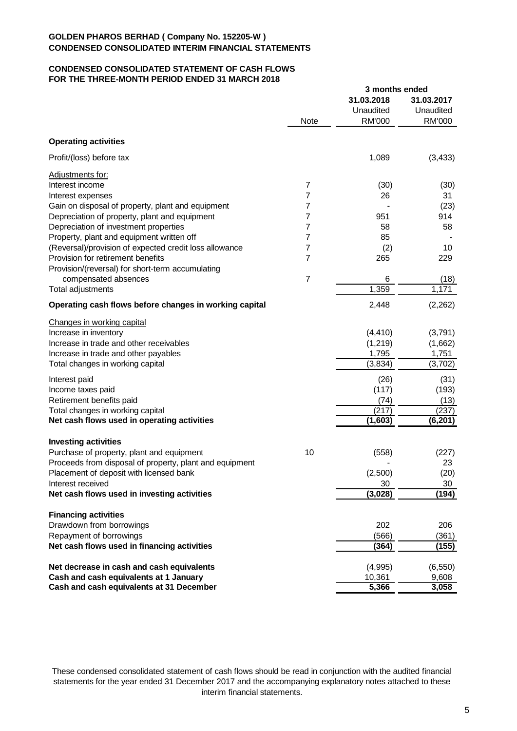#### **CONDENSED CONSOLIDATED STATEMENT OF CASH FLOWS FOR THE THREE-MONTH PERIOD ENDED 31 MARCH 2018**

|                                                         |                | 3 months ended                           |                                   |
|---------------------------------------------------------|----------------|------------------------------------------|-----------------------------------|
|                                                         | <b>Note</b>    | 31.03.2018<br>Unaudited<br><b>RM'000</b> | 31.03.2017<br>Unaudited<br>RM'000 |
|                                                         |                |                                          |                                   |
| <b>Operating activities</b>                             |                |                                          |                                   |
| Profit/(loss) before tax                                |                | 1,089                                    | (3, 433)                          |
| Adjustments for:                                        |                |                                          |                                   |
| Interest income                                         | $\overline{7}$ | (30)                                     | (30)                              |
| Interest expenses                                       | 7              | 26                                       | 31                                |
| Gain on disposal of property, plant and equipment       | 7              |                                          | (23)                              |
| Depreciation of property, plant and equipment           | 7              | 951                                      | 914                               |
| Depreciation of investment properties                   | 7              | 58                                       | 58                                |
| Property, plant and equipment written off               | 7              | 85                                       |                                   |
| (Reversal)/provision of expected credit loss allowance  | 7              | (2)                                      | 10                                |
| Provision for retirement benefits                       | 7              | 265                                      | 229                               |
| Provision/(reversal) for short-term accumulating        |                |                                          |                                   |
| compensated absences                                    | $\overline{7}$ | 6                                        | (18)                              |
| Total adjustments                                       |                | 1,359                                    | 1,171                             |
| Operating cash flows before changes in working capital  |                | 2,448                                    | (2, 262)                          |
| Changes in working capital                              |                |                                          |                                   |
| Increase in inventory                                   |                | (4, 410)                                 | (3,791)                           |
| Increase in trade and other receivables                 |                | (1,219)                                  | (1,662)                           |
| Increase in trade and other payables                    |                | 1,795                                    | 1,751                             |
| Total changes in working capital                        |                | (3,834)                                  | (3,702)                           |
|                                                         |                |                                          |                                   |
| Interest paid                                           |                | (26)                                     | (31)                              |
| Income taxes paid                                       |                | (117)                                    | (193)                             |
| Retirement benefits paid                                |                | (74)                                     | (13)                              |
| Total changes in working capital                        |                | (217)                                    | (237)                             |
| Net cash flows used in operating activities             |                | (1,603)                                  | (6, 201)                          |
| <b>Investing activities</b>                             |                |                                          |                                   |
| Purchase of property, plant and equipment               | 10             | (558)                                    | (227)                             |
| Proceeds from disposal of property, plant and equipment |                |                                          | 23                                |
| Placement of deposit with licensed bank                 |                | (2,500)                                  | (20)                              |
| Interest received                                       |                | 30                                       | 30                                |
| Net cash flows used in investing activities             |                | (3,028)                                  | (194)                             |
| <b>Financing activities</b>                             |                |                                          |                                   |
| Drawdown from borrowings                                |                | 202                                      | 206                               |
| Repayment of borrowings                                 |                | (566)                                    | (361)                             |
| Net cash flows used in financing activities             |                | (364)                                    | (155)                             |
| Net decrease in cash and cash equivalents               |                | (4,995)                                  | (6, 550)                          |
| Cash and cash equivalents at 1 January                  |                | 10,361                                   | 9,608                             |
| Cash and cash equivalents at 31 December                |                | 5,366                                    | 3,058                             |

These condensed consolidated statement of cash flows should be read in conjunction with the audited financial statements for the year ended 31 December 2017 and the accompanying explanatory notes attached to these interim financial statements.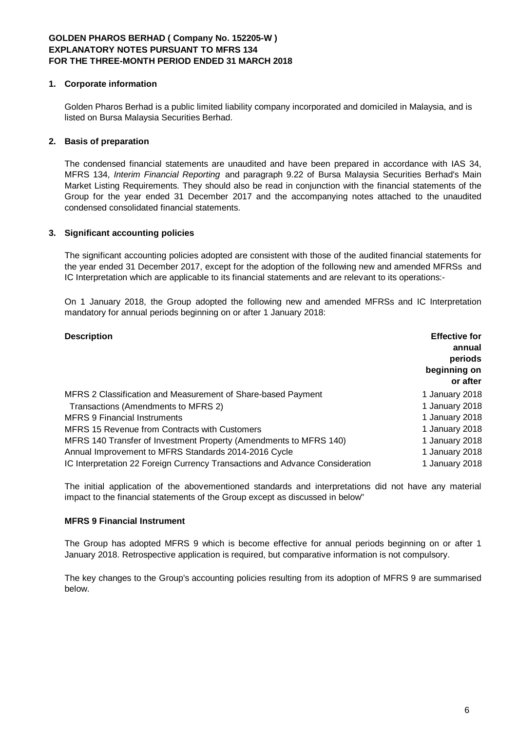## **1. Corporate information**

Golden Pharos Berhad is a public limited liability company incorporated and domiciled in Malaysia, and is listed on Bursa Malaysia Securities Berhad.

## **2. Basis of preparation**

The condensed financial statements are unaudited and have been prepared in accordance with IAS 34, MFRS 134, *Interim Financial Reporting* and paragraph 9.22 of Bursa Malaysia Securities Berhad's Main Market Listing Requirements. They should also be read in conjunction with the financial statements of the Group for the year ended 31 December 2017 and the accompanying notes attached to the unaudited condensed consolidated financial statements.

## **3. Significant accounting policies**

The significant accounting policies adopted are consistent with those of the audited financial statements for the year ended 31 December 2017, except for the adoption of the following new and amended MFRSs and IC Interpretation which are applicable to its financial statements and are relevant to its operations:-

On 1 January 2018, the Group adopted the following new and amended MFRSs and IC Interpretation mandatory for annual periods beginning on or after 1 January 2018:

| <b>Description</b>                                                           | <b>Effective for</b><br>annual<br>periods<br>beginning on<br>or after |
|------------------------------------------------------------------------------|-----------------------------------------------------------------------|
| MFRS 2 Classification and Measurement of Share-based Payment                 | 1 January 2018                                                        |
| Transactions (Amendments to MFRS 2)                                          | 1 January 2018                                                        |
| <b>MFRS 9 Financial Instruments</b>                                          | 1 January 2018                                                        |
| MFRS 15 Revenue from Contracts with Customers                                | 1 January 2018                                                        |
| MFRS 140 Transfer of Investment Property (Amendments to MFRS 140)            | 1 January 2018                                                        |
| Annual Improvement to MFRS Standards 2014-2016 Cycle                         | 1 January 2018                                                        |
| IC Interpretation 22 Foreign Currency Transactions and Advance Consideration | 1 January 2018                                                        |

The initial application of the abovementioned standards and interpretations did not have any material impact to the financial statements of the Group except as discussed in below"

## **MFRS 9 Financial Instrument**

The Group has adopted MFRS 9 which is become effective for annual periods beginning on or after 1 January 2018. Retrospective application is required, but comparative information is not compulsory.

The key changes to the Group's accounting policies resulting from its adoption of MFRS 9 are summarised below.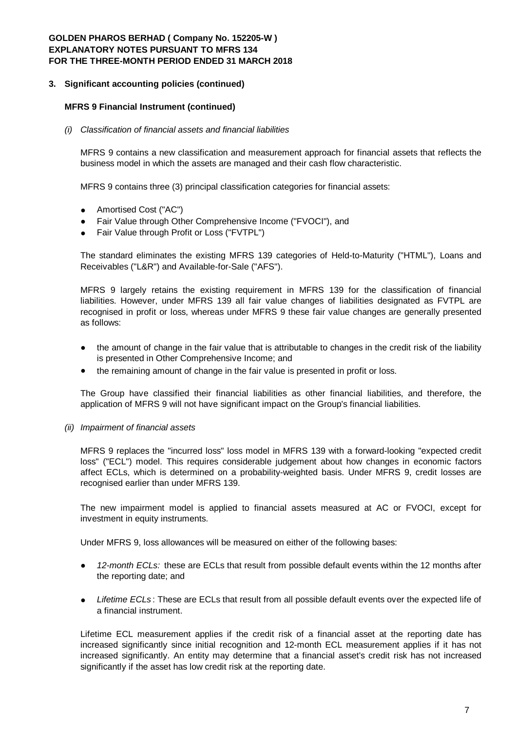## **3. Significant accounting policies (continued)**

## **MFRS 9 Financial Instrument (continued)**

### *(i) Classification of financial assets and financial liabilities*

MFRS 9 contains a new classification and measurement approach for financial assets that reflects the business model in which the assets are managed and their cash flow characteristic.

MFRS 9 contains three (3) principal classification categories for financial assets:

- Amortised Cost ("AC")
- Fair Value through Other Comprehensive Income ("FVOCI"), and
- Fair Value through Profit or Loss ("FVTPL")

The standard eliminates the existing MFRS 139 categories of Held-to-Maturity ("HTML"), Loans and Receivables ("L&R") and Available-for-Sale ("AFS").

MFRS 9 largely retains the existing requirement in MFRS 139 for the classification of financial liabilities. However, under MFRS 139 all fair value changes of liabilities designated as FVTPL are recognised in profit or loss, whereas under MFRS 9 these fair value changes are generally presented as follows:

- the amount of change in the fair value that is attributable to changes in the credit risk of the liability is presented in Other Comprehensive Income; and
- the remaining amount of change in the fair value is presented in profit or loss.

The Group have classified their financial liabilities as other financial liabilities, and therefore, the application of MFRS 9 will not have significant impact on the Group's financial liabilities.

## *(ii) Impairment of financial assets*

MFRS 9 replaces the "incurred loss" loss model in MFRS 139 with a forward-looking "expected credit loss" ("ECL") model. This requires considerable judgement about how changes in economic factors affect ECLs, which is determined on a probability-weighted basis. Under MFRS 9, credit losses are recognised earlier than under MFRS 139.

The new impairment model is applied to financial assets measured at AC or FVOCI, except for investment in equity instruments.

Under MFRS 9, loss allowances will be measured on either of the following bases:

- *12-month ECLs:* these are ECLs that result from possible default events within the 12 months after the reporting date; and
- *Lifetime ECLs* : These are ECLs that result from all possible default events over the expected life of a financial instrument.

Lifetime ECL measurement applies if the credit risk of a financial asset at the reporting date has increased significantly since initial recognition and 12-month ECL measurement applies if it has not increased significantly. An entity may determine that a financial asset's credit risk has not increased significantly if the asset has low credit risk at the reporting date.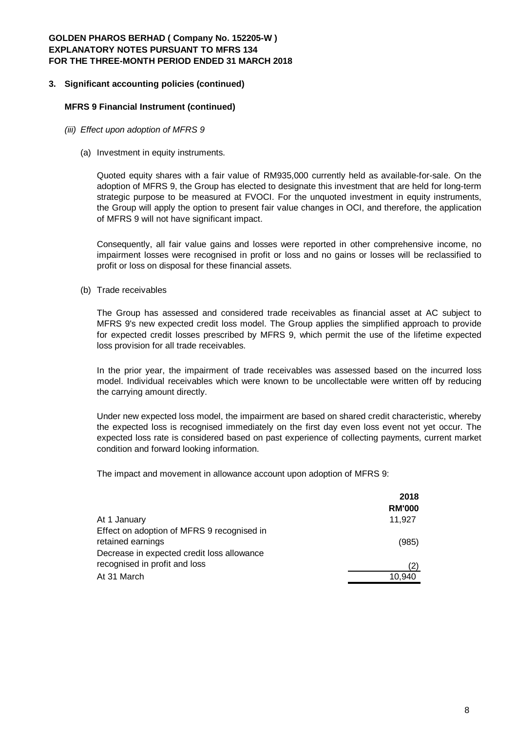### **3. Significant accounting policies (continued)**

#### **MFRS 9 Financial Instrument (continued)**

- *(iii) Effect upon adoption of MFRS 9*
	- (a) Investment in equity instruments.

Quoted equity shares with a fair value of RM935,000 currently held as available-for-sale. On the adoption of MFRS 9, the Group has elected to designate this investment that are held for long-term strategic purpose to be measured at FVOCI. For the unquoted investment in equity instruments, the Group will apply the option to present fair value changes in OCI, and therefore, the application of MFRS 9 will not have significant impact.

Consequently, all fair value gains and losses were reported in other comprehensive income, no impairment losses were recognised in profit or loss and no gains or losses will be reclassified to profit or loss on disposal for these financial assets.

(b) Trade receivables

The Group has assessed and considered trade receivables as financial asset at AC subject to MFRS 9's new expected credit loss model. The Group applies the simplified approach to provide for expected credit losses prescribed by MFRS 9, which permit the use of the lifetime expected loss provision for all trade receivables.

In the prior year, the impairment of trade receivables was assessed based on the incurred loss model. Individual receivables which were known to be uncollectable were written off by reducing the carrying amount directly.

Under new expected loss model, the impairment are based on shared credit characteristic, whereby the expected loss is recognised immediately on the first day even loss event not yet occur. The expected loss rate is considered based on past experience of collecting payments, current market condition and forward looking information.

The impact and movement in allowance account upon adoption of MFRS 9:

|                                            | 2018          |
|--------------------------------------------|---------------|
|                                            | <b>RM'000</b> |
| At 1 January                               | 11,927        |
| Effect on adoption of MFRS 9 recognised in |               |
| retained earnings                          | (985)         |
| Decrease in expected credit loss allowance |               |
| recognised in profit and loss              | (2)           |
| At 31 March                                | 10.940        |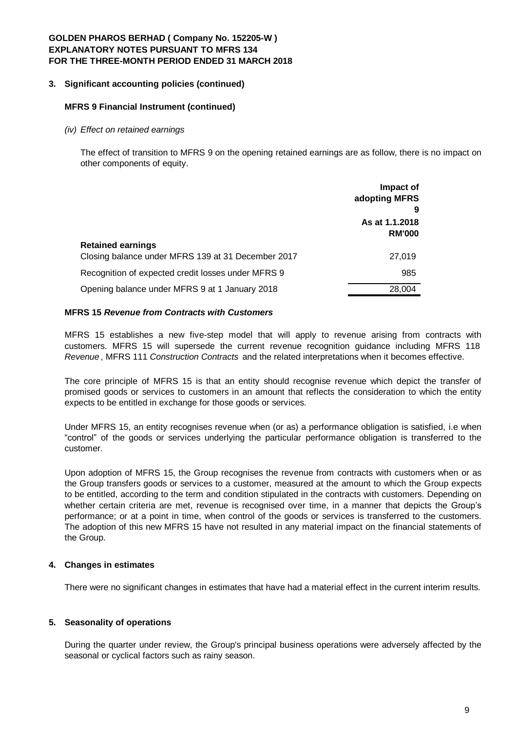## **3. Significant accounting policies (continued)**

### **MFRS 9 Financial Instrument (continued)**

#### *(iv) Effect on retained earnings*

The effect of transition to MFRS 9 on the opening retained earnings are as follow, there is no impact on other components of equity.

|                                                                                | Impact of<br>adopting MFRS<br>9 |
|--------------------------------------------------------------------------------|---------------------------------|
|                                                                                | As at 1.1.2018<br><b>RM'000</b> |
| <b>Retained earnings</b><br>Closing balance under MFRS 139 at 31 December 2017 | 27.019                          |
| Recognition of expected credit losses under MFRS 9                             | 985                             |
| Opening balance under MFRS 9 at 1 January 2018                                 | 28,004                          |

### **MFRS 15** *Revenue from Contracts with Customers*

MFRS 15 establishes a new five-step model that will apply to revenue arising from contracts with customers. MFRS 15 will supersede the current revenue recognition guidance including MFRS 118 *Revenue* , MFRS 111 *Construction Contracts* and the related interpretations when it becomes effective.

The core principle of MFRS 15 is that an entity should recognise revenue which depict the transfer of promised goods or services to customers in an amount that reflects the consideration to which the entity expects to be entitled in exchange for those goods or services.

Under MFRS 15, an entity recognises revenue when (or as) a performance obligation is satisfied, i.e when "control" of the goods or services underlying the particular performance obligation is transferred to the customer.

Upon adoption of MFRS 15, the Group recognises the revenue from contracts with customers when or as the Group transfers goods or services to a customer, measured at the amount to which the Group expects to be entitled, according to the term and condition stipulated in the contracts with customers. Depending on whether certain criteria are met, revenue is recognised over time, in a manner that depicts the Group's performance; or at a point in time, when control of the goods or services is transferred to the customers. The adoption of this new MFRS 15 have not resulted in any material impact on the financial statements of the Group.

## **4. Changes in estimates**

There were no significant changes in estimates that have had a material effect in the current interim results.

## **5. Seasonality of operations**

During the quarter under review, the Group's principal business operations were adversely affected by the seasonal or cyclical factors such as rainy season.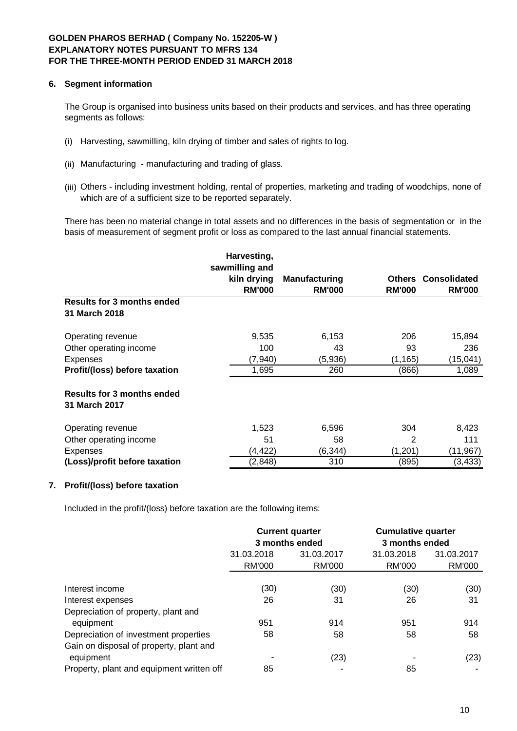## **6. Segment information**

The Group is organised into business units based on their products and services, and has three operating segments as follows:

- (i) Harvesting, sawmilling, kiln drying of timber and sales of rights to log.
- (ii) Manufacturing manufacturing and trading of glass.
- (iii) Others including investment holding, rental of properties, marketing and trading of woodchips, none of which are of a sufficient size to be reported separately.

There has been no material change in total assets and no differences in the basis of segmentation or in the basis of measurement of segment profit or loss as compared to the last annual financial statements.

|                                                    | Harvesting,<br>sawmilling and |               |               |                     |
|----------------------------------------------------|-------------------------------|---------------|---------------|---------------------|
|                                                    | kiln drying                   | Manufacturing | <b>Others</b> | <b>Consolidated</b> |
|                                                    | <b>RM'000</b>                 | <b>RM'000</b> | <b>RM'000</b> | <b>RM'000</b>       |
| <b>Results for 3 months ended</b><br>31 March 2018 |                               |               |               |                     |
| Operating revenue                                  | 9,535                         | 6,153         | 206           | 15,894              |
| Other operating income                             | 100                           | 43            | 93            | 236                 |
| <b>Expenses</b>                                    | (7, 940)                      | (5,936)       | (1, 165)      | (15, 041)           |
| Profit/(loss) before taxation                      | 1,695                         | 260           | (866)         | 1,089               |
| <b>Results for 3 months ended</b><br>31 March 2017 |                               |               |               |                     |
| Operating revenue                                  | 1,523                         | 6,596         | 304           | 8,423               |
| Other operating income                             | 51                            | 58            | 2             | 111                 |
| <b>Expenses</b>                                    | (4, 422)                      | (6, 344)      | (1,201)       | (11, 967)           |
| (Loss)/profit before taxation                      | (2,848)                       | 310           | (895)         | (3, 433)            |

## **7. Profit/(loss) before taxation**

Included in the profit/(loss) before taxation are the following items:

|                                           | <b>Current quarter</b><br>3 months ended |               | <b>Cumulative quarter</b><br>3 months ended |               |
|-------------------------------------------|------------------------------------------|---------------|---------------------------------------------|---------------|
|                                           | 31.03.2018<br>31.03.2017                 |               | 31.03.2018                                  | 31.03.2017    |
|                                           | RM'000                                   | <b>RM'000</b> | <b>RM'000</b>                               | <b>RM'000</b> |
|                                           |                                          |               |                                             |               |
| Interest income                           | (30)                                     | (30)          | (30)                                        | (30)          |
| Interest expenses                         | 26                                       | 31            | 26                                          | 31            |
| Depreciation of property, plant and       |                                          |               |                                             |               |
| equipment                                 | 951                                      | 914           | 951                                         | 914           |
| Depreciation of investment properties     | 58                                       | 58            | 58                                          | 58            |
| Gain on disposal of property, plant and   |                                          |               |                                             |               |
| equipment                                 |                                          | (23)          |                                             | (23)          |
| Property, plant and equipment written off | 85                                       |               | 85                                          |               |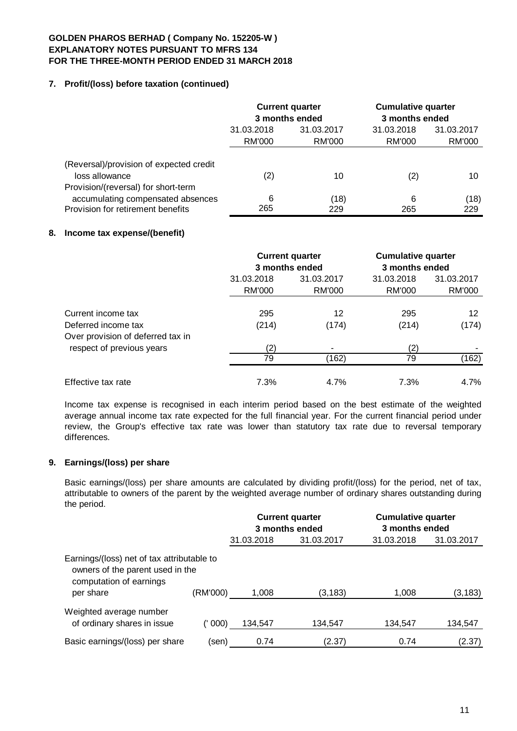# **7. Profit/(loss) before taxation (continued)**

|                                                                          | <b>Current quarter</b><br>3 months ended |        | <b>Cumulative quarter</b><br>3 months ended |            |
|--------------------------------------------------------------------------|------------------------------------------|--------|---------------------------------------------|------------|
|                                                                          | 31.03.2018<br>31.03.2017                 |        | 31.03.2018                                  | 31.03.2017 |
|                                                                          | RM'000                                   | RM'000 | RM'000                                      | RM'000     |
| (Reversal)/provision of expected credit<br>loss allowance                | (2)                                      | 10     | (2)                                         | 10         |
| Provision/(reversal) for short-term<br>accumulating compensated absences | 6                                        | (18)   | 6                                           | (18)       |
| Provision for retirement benefits                                        | 265                                      | 229    | 265                                         | 229        |

# **8. Income tax expense/(benefit)**

|                                   | <b>Current quarter</b><br>3 months ended |               | <b>Cumulative quarter</b><br>3 months ended |            |
|-----------------------------------|------------------------------------------|---------------|---------------------------------------------|------------|
|                                   | 31.03.2018<br>31.03.2017                 |               | 31.03.2018                                  | 31.03.2017 |
|                                   | RM'000                                   | <b>RM'000</b> | RM'000                                      | RM'000     |
| Current income tax                | 295                                      | 12            | 295                                         | 12         |
| Deferred income tax               | (214)                                    | (174)         | (214)                                       | (174)      |
| Over provision of deferred tax in |                                          |               |                                             |            |
| respect of previous years         | (2)                                      |               | (2)                                         |            |
|                                   | 79                                       | (162)         | 79                                          | (162)      |
| Effective tax rate                | 7.3%                                     | 4.7%          | 7.3%                                        | 4.7%       |

Income tax expense is recognised in each interim period based on the best estimate of the weighted average annual income tax rate expected for the full financial year. For the current financial period under review, the Group's effective tax rate was lower than statutory tax rate due to reversal temporary differences.

# **9. Earnings/(loss) per share**

Basic earnings/(loss) per share amounts are calculated by dividing profit/(loss) for the period, net of tax, attributable to owners of the parent by the weighted average number of ordinary shares outstanding during the period.

|                                                                                                                        |          | <b>Current quarter</b><br>3 months ended |            | <b>Cumulative quarter</b><br>3 months ended |            |
|------------------------------------------------------------------------------------------------------------------------|----------|------------------------------------------|------------|---------------------------------------------|------------|
|                                                                                                                        |          | 31.03.2018                               | 31.03.2017 | 31.03.2018                                  | 31.03.2017 |
| Earnings/(loss) net of tax attributable to<br>owners of the parent used in the<br>computation of earnings<br>per share | (RM'000) | 1,008                                    | (3, 183)   | 1,008                                       | (3, 183)   |
| Weighted average number<br>of ordinary shares in issue                                                                 | 000)     | 134,547                                  | 134,547    | 134,547                                     | 134,547    |
| Basic earnings/(loss) per share                                                                                        | (sen)    | 0.74                                     | (2.37)     | 0.74                                        | (2.37)     |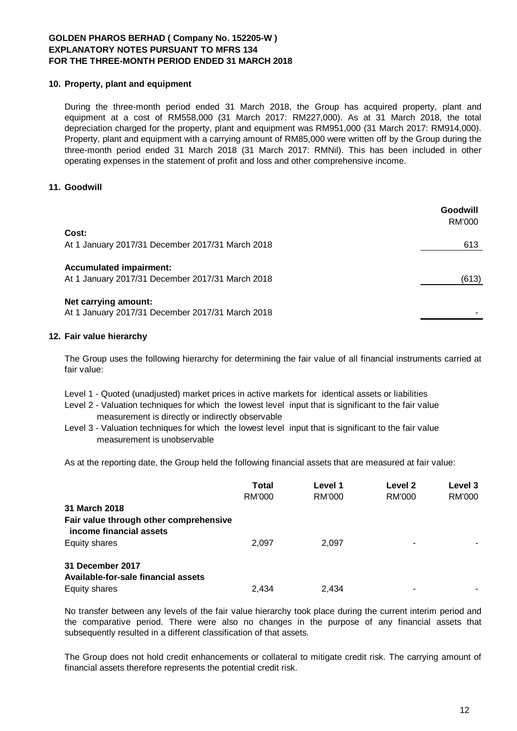## **10. Property, plant and equipment**

During the three-month period ended 31 March 2018, the Group has acquired property, plant and equipment at a cost of RM558,000 (31 March 2017: RM227,000). As at 31 March 2018, the total depreciation charged for the property, plant and equipment was RM951,000 (31 March 2017: RM914,000). Property, plant and equipment with a carrying amount of RM85,000 were written off by the Group during the three-month period ended 31 March 2018 (31 March 2017: RMNil). This has been included in other operating expenses in the statement of profit and loss and other comprehensive income.

# **11. Goodwill**

|                                                                                    | Goodwill<br>RM'000 |
|------------------------------------------------------------------------------------|--------------------|
| Cost:                                                                              |                    |
| At 1 January 2017/31 December 2017/31 March 2018                                   | 613                |
| <b>Accumulated impairment:</b><br>At 1 January 2017/31 December 2017/31 March 2018 | (613)              |
| Net carrying amount:<br>At 1 January 2017/31 December 2017/31 March 2018           |                    |

## **12. Fair value hierarchy**

The Group uses the following hierarchy for determining the fair value of all financial instruments carried at fair value:

- Level 1 Quoted (unadjusted) market prices in active markets for identical assets or liabilities
- Level 2 Valuation techniques for which the lowest level input that is significant to the fair value measurement is directly or indirectly observable
- Level 3 Valuation techniques for which the lowest level input that is significant to the fair value measurement is unobservable

As at the reporting date, the Group held the following financial assets that are measured at fair value:

|                                                                   | <b>Total</b><br><b>RM'000</b> | Level 1<br>RM'000 | Level 2<br><b>RM'000</b> | Level 3<br><b>RM'000</b> |
|-------------------------------------------------------------------|-------------------------------|-------------------|--------------------------|--------------------------|
| 31 March 2018                                                     |                               |                   |                          |                          |
| Fair value through other comprehensive<br>income financial assets |                               |                   |                          |                          |
| Equity shares                                                     | 2.097                         | 2.097             | ۰                        |                          |
| 31 December 2017<br>Available-for-sale financial assets           |                               |                   |                          |                          |
| Equity shares                                                     | 2.434                         | 2.434             |                          |                          |

No transfer between any levels of the fair value hierarchy took place during the current interim period and the comparative period. There were also no changes in the purpose of any financial assets that subsequently resulted in a different classification of that assets.

The Group does not hold credit enhancements or collateral to mitigate credit risk. The carrying amount of financial assets therefore represents the potential credit risk.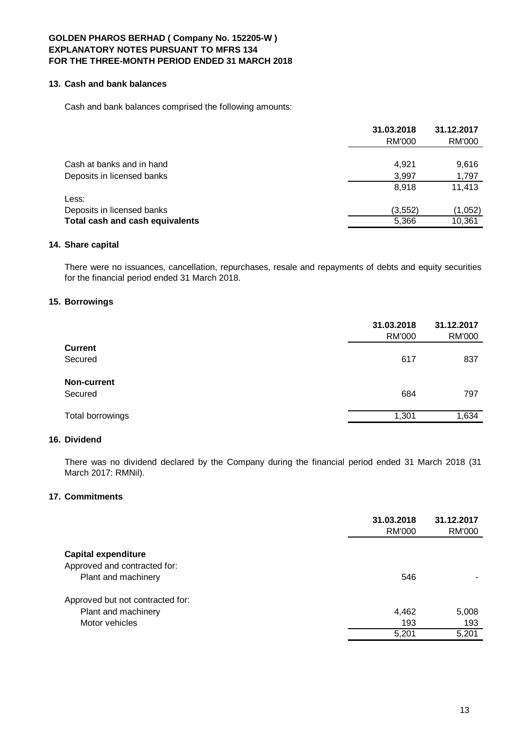# **13. Cash and bank balances**

Cash and bank balances comprised the following amounts:

|                                 | 31.03.2018 | 31.12.2017    |
|---------------------------------|------------|---------------|
|                                 | RM'000     | <b>RM'000</b> |
|                                 |            |               |
| Cash at banks and in hand       | 4.921      | 9,616         |
| Deposits in licensed banks      | 3,997      | 1,797         |
|                                 | 8.918      | 11,413        |
| Less:                           |            |               |
| Deposits in licensed banks      | (3, 552)   | (1,052)       |
| Total cash and cash equivalents | 5,366      | 10,361        |

## **14. Share capital**

There were no issuances, cancellation, repurchases, resale and repayments of debts and equity securities for the financial period ended 31 March 2018.

### **15. Borrowings**

|                    | 31.03.2018<br><b>RM'000</b> | 31.12.2017<br><b>RM'000</b> |
|--------------------|-----------------------------|-----------------------------|
| <b>Current</b>     |                             |                             |
| Secured            | 617                         | 837                         |
| <b>Non-current</b> |                             |                             |
| Secured            | 684                         | 797                         |
| Total borrowings   | 1,301                       | 1,634                       |

#### **16. Dividend**

There was no dividend declared by the Company during the financial period ended 31 March 2018 (31 March 2017: RMNil).

#### **17. Commitments**

|                                  | 31.03.2018<br>RM'000 | 31.12.2017<br>RM'000 |
|----------------------------------|----------------------|----------------------|
| <b>Capital expenditure</b>       |                      |                      |
| Approved and contracted for:     |                      |                      |
| Plant and machinery              | 546                  |                      |
| Approved but not contracted for: |                      |                      |
| Plant and machinery              | 4,462                | 5,008                |
| Motor vehicles                   | 193                  | 193                  |
|                                  | 5,201                | 5,201                |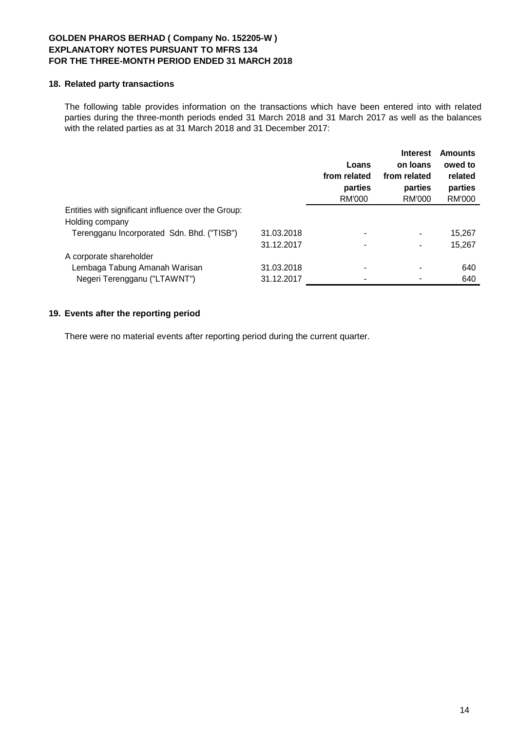## **18. Related party transactions**

The following table provides information on the transactions which have been entered into with related parties during the three-month periods ended 31 March 2018 and 31 March 2017 as well as the balances with the related parties as at 31 March 2018 and 31 December 2017:

|                                                                        |            | Loans<br>from related<br>parties<br>RM'000 | <b>Interest</b><br>on loans<br>from related<br>parties<br>RM'000 | <b>Amounts</b><br>owed to<br>related<br>parties<br><b>RM'000</b> |
|------------------------------------------------------------------------|------------|--------------------------------------------|------------------------------------------------------------------|------------------------------------------------------------------|
| Entities with significant influence over the Group:<br>Holding company |            |                                            |                                                                  |                                                                  |
| Terengganu Incorporated Sdn. Bhd. ("TISB")                             | 31.03.2018 |                                            |                                                                  | 15,267                                                           |
|                                                                        | 31.12.2017 |                                            | ۰                                                                | 15,267                                                           |
| A corporate shareholder                                                |            |                                            |                                                                  |                                                                  |
| Lembaga Tabung Amanah Warisan                                          | 31.03.2018 |                                            |                                                                  | 640                                                              |
| Negeri Terengganu ("LTAWNT")                                           | 31.12.2017 |                                            |                                                                  | 640                                                              |
|                                                                        |            |                                            |                                                                  |                                                                  |

# **19. Events after the reporting period**

There were no material events after reporting period during the current quarter.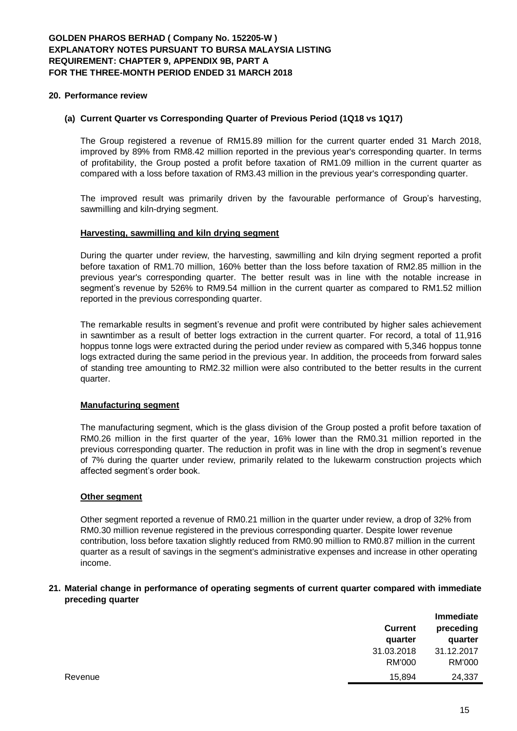### **20. Performance review**

### **(a) Current Quarter vs Corresponding Quarter of Previous Period (1Q18 vs 1Q17)**

The Group registered a revenue of RM15.89 million for the current quarter ended 31 March 2018, improved by 89% from RM8.42 million reported in the previous year's corresponding quarter. In terms of profitability, the Group posted a profit before taxation of RM1.09 million in the current quarter as compared with a loss before taxation of RM3.43 million in the previous year's corresponding quarter.

The improved result was primarily driven by the favourable performance of Group's harvesting, sawmilling and kiln-drying segment.

#### **Harvesting, sawmilling and kiln drying segment**

During the quarter under review, the harvesting, sawmilling and kiln drying segment reported a profit before taxation of RM1.70 million, 160% better than the loss before taxation of RM2.85 million in the previous year's corresponding quarter. The better result was in line with the notable increase in segment's revenue by 526% to RM9.54 million in the current quarter as compared to RM1.52 million reported in the previous corresponding quarter.

The remarkable results in segment's revenue and profit were contributed by higher sales achievement in sawntimber as a result of better logs extraction in the current quarter. For record, a total of 11,916 hoppus tonne logs were extracted during the period under review as compared with 5,346 hoppus tonne logs extracted during the same period in the previous year. In addition, the proceeds from forward sales of standing tree amounting to RM2.32 million were also contributed to the better results in the current quarter.

#### **Manufacturing segment**

The manufacturing segment, which is the glass division of the Group posted a profit before taxation of RM0.26 million in the first quarter of the year, 16% lower than the RM0.31 million reported in the previous corresponding quarter. The reduction in profit was in line with the drop in segment's revenue of 7% during the quarter under review, primarily related to the lukewarm construction projects which affected segment's order book.

#### **Other segment**

Other segment reported a revenue of RM0.21 million in the quarter under review, a drop of 32% from RM0.30 million revenue registered in the previous corresponding quarter. Despite lower revenue contribution, loss before taxation slightly reduced from RM0.90 million to RM0.87 million in the current quarter as a result of savings in the segment's administrative expenses and increase in other operating income.

#### **21. Material change in performance of operating segments of current quarter compared with immediate preceding quarter**

|         | <b>Current</b><br>quarter | Immediate<br>preceding<br>quarter |
|---------|---------------------------|-----------------------------------|
|         | 31.03.2018                | 31.12.2017                        |
|         | RM'000                    | <b>RM'000</b>                     |
| Revenue | 15,894                    | 24,337                            |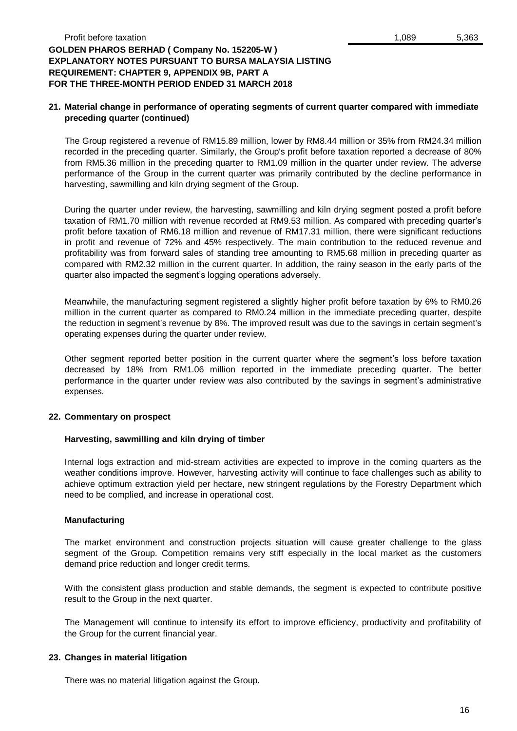## **21. Material change in performance of operating segments of current quarter compared with immediate preceding quarter (continued)**

The Group registered a revenue of RM15.89 million, lower by RM8.44 million or 35% from RM24.34 million recorded in the preceding quarter. Similarly, the Group's profit before taxation reported a decrease of 80% from RM5.36 million in the preceding quarter to RM1.09 million in the quarter under review. The adverse performance of the Group in the current quarter was primarily contributed by the decline performance in harvesting, sawmilling and kiln drying segment of the Group.

During the quarter under review, the harvesting, sawmilling and kiln drying segment posted a profit before taxation of RM1.70 million with revenue recorded at RM9.53 million. As compared with preceding quarter's profit before taxation of RM6.18 million and revenue of RM17.31 million, there were significant reductions in profit and revenue of 72% and 45% respectively. The main contribution to the reduced revenue and profitability was from forward sales of standing tree amounting to RM5.68 million in preceding quarter as compared with RM2.32 million in the current quarter. In addition, the rainy season in the early parts of the quarter also impacted the segment's logging operations adversely.

Meanwhile, the manufacturing segment registered a slightly higher profit before taxation by 6% to RM0.26 million in the current quarter as compared to RM0.24 million in the immediate preceding quarter, despite the reduction in segment's revenue by 8%. The improved result was due to the savings in certain segment's operating expenses during the quarter under review.

Other segment reported better position in the current quarter where the segment's loss before taxation decreased by 18% from RM1.06 million reported in the immediate preceding quarter. The better performance in the quarter under review was also contributed by the savings in segment's administrative expenses.

# **22. Commentary on prospect**

## **Harvesting, sawmilling and kiln drying of timber**

Internal logs extraction and mid-stream activities are expected to improve in the coming quarters as the weather conditions improve. However, harvesting activity will continue to face challenges such as ability to achieve optimum extraction yield per hectare, new stringent regulations by the Forestry Department which need to be complied, and increase in operational cost.

## **Manufacturing**

The market environment and construction projects situation will cause greater challenge to the glass segment of the Group. Competition remains very stiff especially in the local market as the customers demand price reduction and longer credit terms.

With the consistent glass production and stable demands, the segment is expected to contribute positive result to the Group in the next quarter.

The Management will continue to intensify its effort to improve efficiency, productivity and profitability of the Group for the current financial year.

## **23. Changes in material litigation**

There was no material litigation against the Group.